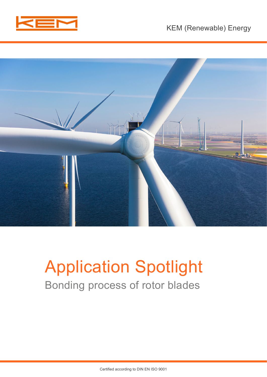



# Application Spotlight Bonding process of rotor blades